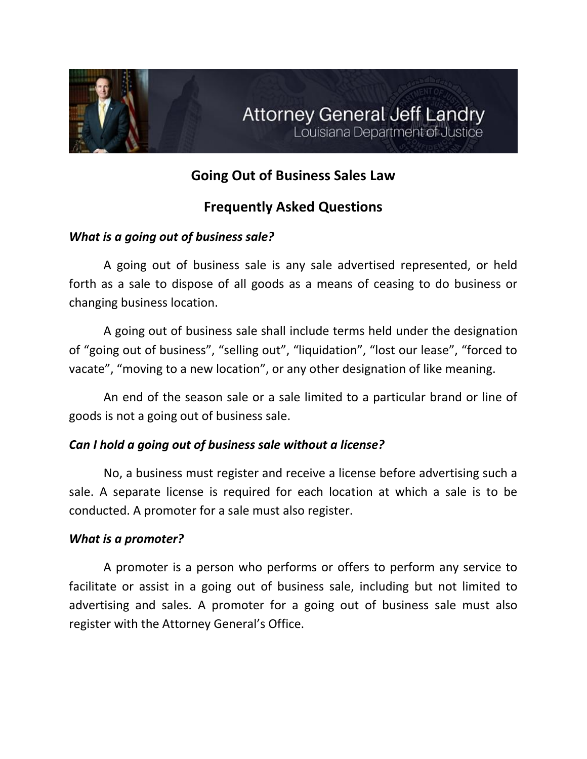

# **Going Out of Business Sales Law**

# **Frequently Asked Questions**

## *What is a going out of business sale?*

A going out of business sale is any sale advertised represented, or held forth as a sale to dispose of all goods as a means of ceasing to do business or changing business location.

A going out of business sale shall include terms held under the designation of "going out of business", "selling out", "liquidation", "lost our lease", "forced to vacate", "moving to a new location", or any other designation of like meaning.

An end of the season sale or a sale limited to a particular brand or line of goods is not a going out of business sale.

## *Can I hold a going out of business sale without a license?*

No, a business must register and receive a license before advertising such a sale. A separate license is required for each location at which a sale is to be conducted. A promoter for a sale must also register.

## *What is a promoter?*

A promoter is a person who performs or offers to perform any service to facilitate or assist in a going out of business sale, including but not limited to advertising and sales. A promoter for a going out of business sale must also register with the Attorney General's Office.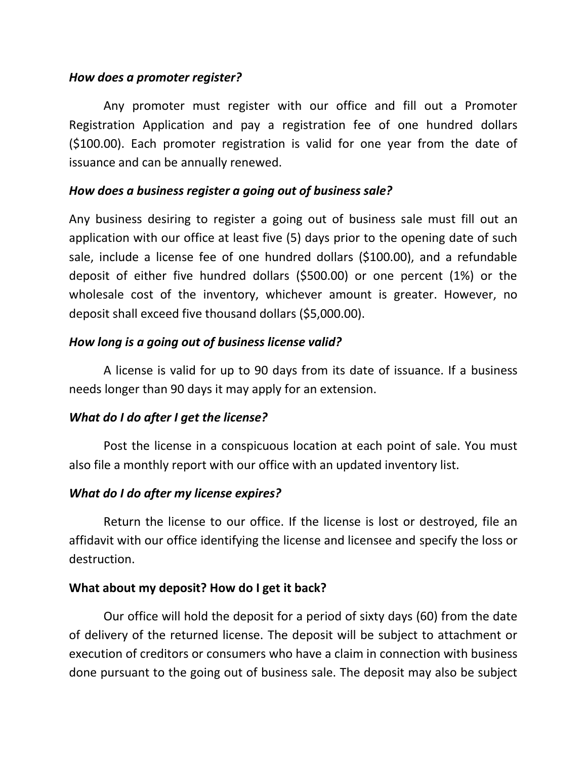#### *How does a promoter register?*

Any promoter must register with our office and fill out a Promoter Registration Application and pay a registration fee of one hundred dollars (\$100.00). Each promoter registration is valid for one year from the date of issuance and can be annually renewed.

## *How does a business register a going out of business sale?*

Any business desiring to register a going out of business sale must fill out an application with our office at least five (5) days prior to the opening date of such sale, include a license fee of one hundred dollars (\$100.00), and a refundable deposit of either five hundred dollars (\$500.00) or one percent (1%) or the wholesale cost of the inventory, whichever amount is greater. However, no deposit shall exceed five thousand dollars (\$5,000.00).

## *How long is a going out of business license valid?*

A license is valid for up to 90 days from its date of issuance. If a business needs longer than 90 days it may apply for an extension.

## *What do I do after I get the license?*

Post the license in a conspicuous location at each point of sale. You must also file a monthly report with our office with an updated inventory list.

## *What do I do after my license expires?*

Return the license to our office. If the license is lost or destroyed, file an affidavit with our office identifying the license and licensee and specify the loss or destruction.

## **What about my deposit? How do I get it back?**

Our office will hold the deposit for a period of sixty days (60) from the date of delivery of the returned license. The deposit will be subject to attachment or execution of creditors or consumers who have a claim in connection with business done pursuant to the going out of business sale. The deposit may also be subject